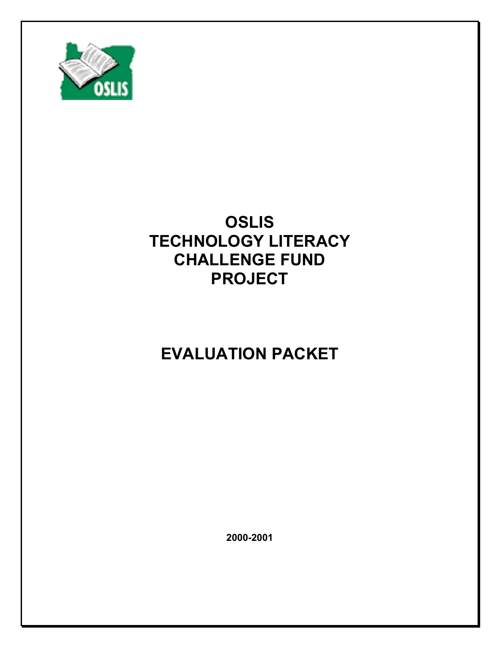

# **OSLIS TECHNOLOGY LITERACY CHALLENGE FUND PROJECT**

# **EVALUATION PACKET**

**2000-2001**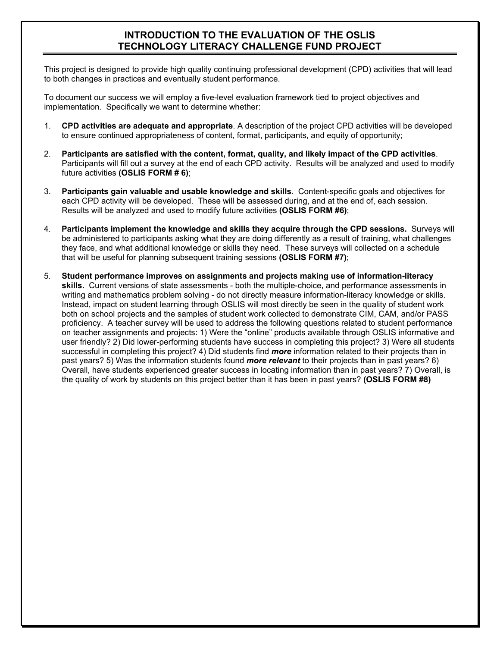#### **INTRODUCTION TO THE EVALUATION OF THE OSLIS TECHNOLOGY LITERACY CHALLENGE FUND PROJECT**

This project is designed to provide high quality continuing professional development (CPD) activities that will lead to both changes in practices and eventually student performance.

To document our success we will employ a five-level evaluation framework tied to project objectives and implementation. Specifically we want to determine whether:

- 1. **CPD activities are adequate and appropriate**. A description of the project CPD activities will be developed to ensure continued appropriateness of content, format, participants, and equity of opportunity;
- 2. **Participants are satisfied with the content, format, quality, and likely impact of the CPD activities**. Participants will fill out a survey at the end of each CPD activity. Results will be analyzed and used to modify future activities **(OSLIS FORM # 6)**;
- 3. **Participants gain valuable and usable knowledge and skills**. Content-specific goals and objectives for each CPD activity will be developed. These will be assessed during, and at the end of, each session. Results will be analyzed and used to modify future activities **(OSLIS FORM #6)**;
- 4. **Participants implement the knowledge and skills they acquire through the CPD sessions.** Surveys will be administered to participants asking what they are doing differently as a result of training, what challenges they face, and what additional knowledge or skills they need. These surveys will collected on a schedule that will be useful for planning subsequent training sessions **(OSLIS FORM #7)**;
- 5. **Student performance improves on assignments and projects making use of information-literacy skills.** Current versions of state assessments - both the multiple-choice, and performance assessments in writing and mathematics problem solving - do not directly measure information-literacy knowledge or skills. Instead, impact on student learning through OSLIS will most directly be seen in the quality of student work both on school projects and the samples of student work collected to demonstrate CIM, CAM, and/or PASS proficiency. A teacher survey will be used to address the following questions related to student performance on teacher assignments and projects: 1) Were the "online" products available through OSLIS informative and user friendly? 2) Did lower-performing students have success in completing this project? 3) Were all students successful in completing this project? 4) Did students find *more* information related to their projects than in past years? 5) Was the information students found *more relevant* to their projects than in past years? 6) Overall, have students experienced greater success in locating information than in past years? 7) Overall, is the quality of work by students on this project better than it has been in past years? **(OSLIS FORM #8)**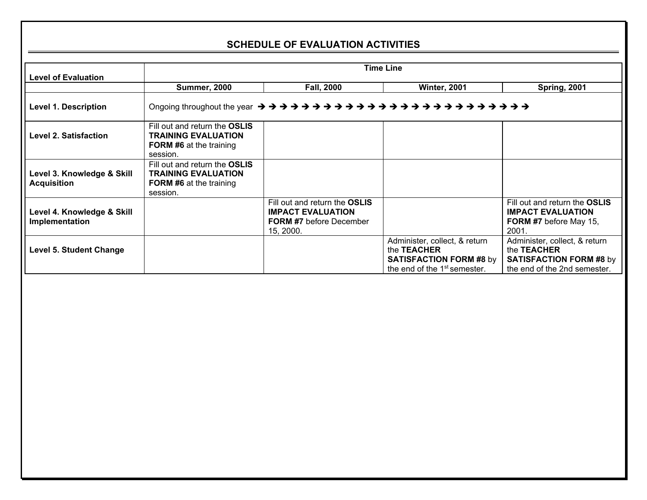#### **SCHEDULE OF EVALUATION ACTIVITIES**

| <b>Level of Evaluation</b>                       |                                                                                                           | <b>Time Line</b>                                                                                         |                                                                                                                            |                                                                                                                       |  |
|--------------------------------------------------|-----------------------------------------------------------------------------------------------------------|----------------------------------------------------------------------------------------------------------|----------------------------------------------------------------------------------------------------------------------------|-----------------------------------------------------------------------------------------------------------------------|--|
|                                                  | <b>Summer, 2000</b>                                                                                       | <b>Winter, 2001</b><br><b>Fall, 2000</b>                                                                 |                                                                                                                            |                                                                                                                       |  |
| <b>Level 1. Description</b>                      |                                                                                                           |                                                                                                          |                                                                                                                            |                                                                                                                       |  |
| Level 2. Satisfaction                            | Fill out and return the OSLIS<br><b>TRAINING EVALUATION</b><br><b>FORM #6</b> at the training<br>session. |                                                                                                          |                                                                                                                            |                                                                                                                       |  |
| Level 3. Knowledge & Skill<br><b>Acquisition</b> | Fill out and return the OSLIS<br><b>TRAINING EVALUATION</b><br><b>FORM #6</b> at the training<br>session. |                                                                                                          |                                                                                                                            |                                                                                                                       |  |
| Level 4. Knowledge & Skill<br>Implementation     |                                                                                                           | Fill out and return the OSLIS<br><b>IMPACT EVALUATION</b><br><b>FORM #7</b> before December<br>15, 2000. |                                                                                                                            | Fill out and return the OSLIS<br><b>IMPACT EVALUATION</b><br><b>FORM #7</b> before May 15,<br>2001.                   |  |
| <b>Level 5. Student Change</b>                   |                                                                                                           |                                                                                                          | Administer, collect, & return<br>the TEACHER<br><b>SATISFACTION FORM #8 by</b><br>the end of the 1 <sup>st</sup> semester. | Administer, collect, & return<br>the <b>TEACHER</b><br><b>SATISFACTION FORM #8 by</b><br>the end of the 2nd semester. |  |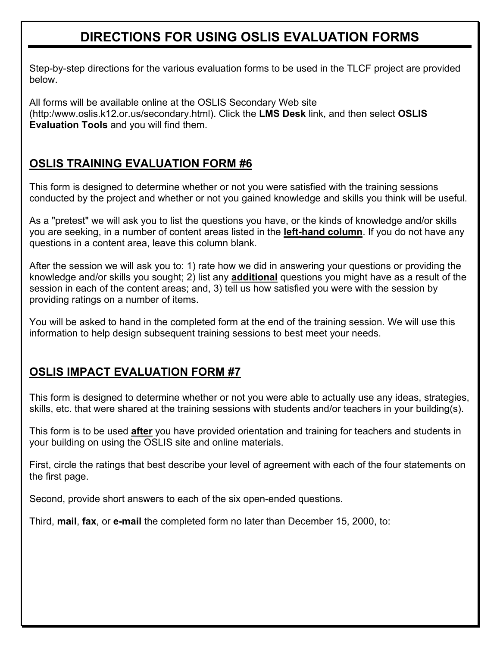## **DIRECTIONS FOR USING OSLIS EVALUATION FORMS**

Step-by-step directions for the various evaluation forms to be used in the TLCF project are provided below.

All forms will be available online at the OSLIS Secondary Web site (http:/www.oslis.k12.or.us/secondary.html). Click the **LMS Desk** link, and then select **OSLIS Evaluation Tools** and you will find them.

## **OSLIS TRAINING EVALUATION FORM #6**

This form is designed to determine whether or not you were satisfied with the training sessions conducted by the project and whether or not you gained knowledge and skills you think will be useful.

As a "pretest" we will ask you to list the questions you have, or the kinds of knowledge and/or skills you are seeking, in a number of content areas listed in the **left-hand column**. If you do not have any questions in a content area, leave this column blank.

After the session we will ask you to: 1) rate how we did in answering your questions or providing the knowledge and/or skills you sought; 2) list any **additional** questions you might have as a result of the session in each of the content areas; and, 3) tell us how satisfied you were with the session by providing ratings on a number of items.

You will be asked to hand in the completed form at the end of the training session. We will use this information to help design subsequent training sessions to best meet your needs.

### **OSLIS IMPACT EVALUATION FORM #7**

This form is designed to determine whether or not you were able to actually use any ideas, strategies, skills, etc. that were shared at the training sessions with students and/or teachers in your building(s).

This form is to be used **after** you have provided orientation and training for teachers and students in your building on using the OSLIS site and online materials.

First, circle the ratings that best describe your level of agreement with each of the four statements on the first page.

Second, provide short answers to each of the six open-ended questions.

Third, **mail**, **fax**, or **e-mail** the completed form no later than December 15, 2000, to: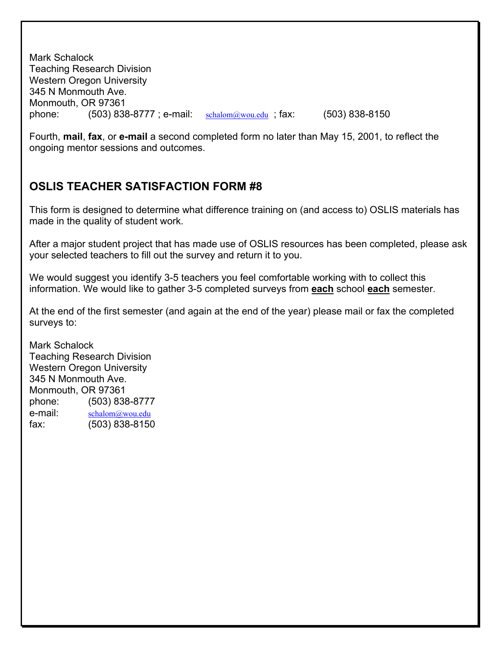Mark Schalock Teaching Research Division Western Oregon University 345 N Monmouth Ave. Monmouth, OR 97361 phone:  $(503)$  838-8777; e-mail:  $\frac{\text{schalom}(\partial x) \text{vol.edu}}{\text{schalom}(\partial y) \text{vol.edu}}$ ; fax:  $(503)$  838-8150

Fourth, **mail**, **fax**, or **e-mail** a second completed form no later than May 15, 2001, to reflect the ongoing mentor sessions and outcomes.

#### **OSLIS TEACHER SATISFACTION FORM #8**

This form is designed to determine what difference training on (and access to) OSLIS materials has made in the quality of student work.

After a major student project that has made use of OSLIS resources has been completed, please ask your selected teachers to fill out the survey and return it to you.

We would suggest you identify 3-5 teachers you feel comfortable working with to collect this information. We would like to gather 3-5 completed surveys from **each** school **each** semester.

At the end of the first semester (and again at the end of the year) please mail or fax the completed surveys to:

Mark Schalock Teaching Research Division Western Oregon University 345 N Monmouth Ave. Monmouth, OR 97361 phone: (503) 838-8777 e-mail: [schalom@wou.edu](mailto:schalom@wou.edu) fax: (503) 838-8150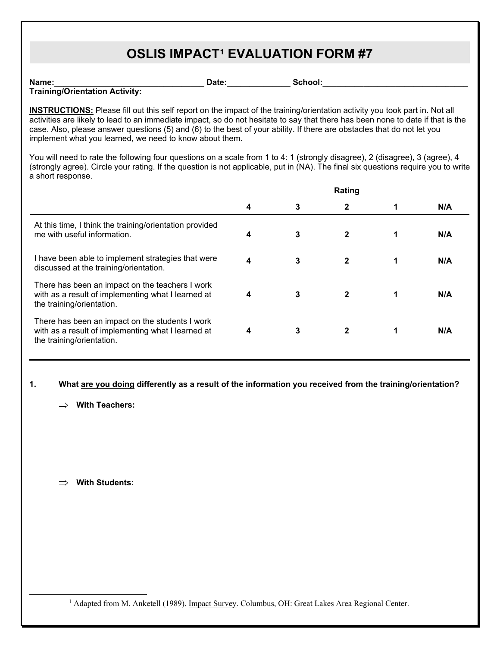## **OSLIS IMPACT[1](#page-5-0) EVALUATION FORM #7**

**Name:** The contribution of the contribution of the contribution of  $\mathsf{Date}$ :  $\mathsf{School}$ : **Training/Orientation Activity:**

**INSTRUCTIONS:** Please fill out this self report on the impact of the training/orientation activity you took part in. Not all activities are likely to lead to an immediate impact, so do not hesitate to say that there has been none to date if that is the case. Also, please answer questions (5) and (6) to the best of your ability. If there are obstacles that do not let you implement what you learned, we need to know about them.

You will need to rate the following four questions on a scale from 1 to 4: 1 (strongly disagree), 2 (disagree), 3 (agree), 4 (strongly agree). Circle your rating. If the question is not applicable, put in (NA). The final six questions require you to write a short response.

|                                                                                                                                    |   |   | Rating       |     |
|------------------------------------------------------------------------------------------------------------------------------------|---|---|--------------|-----|
|                                                                                                                                    | 4 | 3 | $\mathbf{2}$ | N/A |
| At this time, I think the training/orientation provided<br>me with useful information.                                             | 4 | 3 | $\mathbf{2}$ | N/A |
| I have been able to implement strategies that were<br>discussed at the training/orientation.                                       | 4 | 3 | $\mathbf{2}$ | N/A |
| There has been an impact on the teachers I work<br>with as a result of implementing what I learned at<br>the training/orientation. | 4 | 3 | $\mathbf 2$  | N/A |
| There has been an impact on the students I work<br>with as a result of implementing what I learned at<br>the training/orientation. | 4 | 3 | $\mathbf{2}$ | N/A |

#### **1. What are you doing differently as a result of the information you received from the training/orientation?**

⇒ **With Teachers:**

⇒ **With Students:**

<span id="page-5-0"></span><sup>1</sup> Adapted from M. Anketell (1989). Impact Survey. Columbus, OH: Great Lakes Area Regional Center.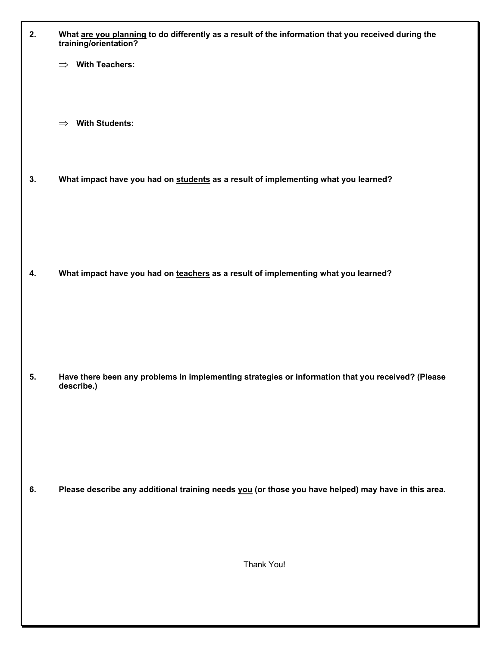| 2. | What are you planning to do differently as a result of the information that you received during the<br>training/orientation? |
|----|------------------------------------------------------------------------------------------------------------------------------|
|    | $\implies$ With Teachers:                                                                                                    |
|    | <b>With Students:</b><br>$\Rightarrow$                                                                                       |
| 3. | What impact have you had on students as a result of implementing what you learned?                                           |
|    |                                                                                                                              |
| 4. | What impact have you had on teachers as a result of implementing what you learned?                                           |
|    |                                                                                                                              |
| 5. | Have there been any problems in implementing strategies or information that you received? (Please<br>describe.)              |
|    |                                                                                                                              |
| 6. | Please describe any additional training needs you (or those you have helped) may have in this area.                          |
|    |                                                                                                                              |
|    | Thank You!                                                                                                                   |